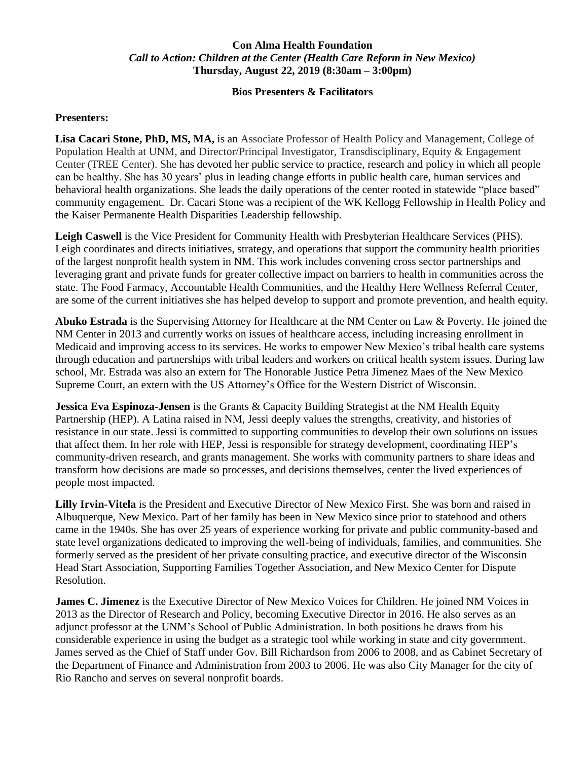## **Con Alma Health Foundation** *Call to Action: Children at the Center (Health Care Reform in New Mexico)* **Thursday, August 22, 2019 (8:30am – 3:00pm)**

## **Bios Presenters & Facilitators**

## **Presenters:**

**Lisa Cacari Stone, PhD, MS, MA,** is an Associate Professor of Health Policy and Management, College of Population Health at UNM, and Director/Principal Investigator, Transdisciplinary, Equity & Engagement Center (TREE Center). She has devoted her public service to practice, research and policy in which all people can be healthy. She has 30 years' plus in leading change efforts in public health care, human services and behavioral health organizations. She leads the daily operations of the center rooted in statewide "place based" community engagement. Dr. Cacari Stone was a recipient of the WK Kellogg Fellowship in Health Policy and the Kaiser Permanente Health Disparities Leadership fellowship.

Leigh Caswell is the Vice President for Community Health with Presbyterian Healthcare Services (PHS). Leigh coordinates and directs initiatives, strategy, and operations that support the community health priorities of the largest nonprofit health system in NM. This work includes convening cross sector partnerships and leveraging grant and private funds for greater collective impact on barriers to health in communities across the state. The Food Farmacy, Accountable Health Communities, and the Healthy Here Wellness Referral Center, are some of the current initiatives she has helped develop to support and promote prevention, and health equity.

**Abuko Estrada** is the Supervising Attorney for Healthcare at the NM Center on Law & Poverty. He joined the NM Center in 2013 and currently works on issues of healthcare access, including increasing enrollment in Medicaid and improving access to its services. He works to empower New Mexico's tribal health care systems through education and partnerships with tribal leaders and workers on critical health system issues. During law school, Mr. Estrada was also an extern for The Honorable Justice Petra Jimenez Maes of the New Mexico Supreme Court, an extern with the US Attorney's Office for the Western District of Wisconsin.

**Jessica Eva Espinoza-Jensen** is the Grants & Capacity Building Strategist at the NM Health Equity Partnership (HEP). A Latina raised in NM, Jessi deeply values the strengths, creativity, and histories of resistance in our state. Jessi is committed to supporting communities to develop their own solutions on issues that affect them. In her role with HEP, Jessi is responsible for strategy development, coordinating HEP's community-driven research, and grants management. She works with community partners to share ideas and transform how decisions are made so processes, and decisions themselves, center the lived experiences of people most impacted.

**Lilly Irvin-Vitela** is the President and Executive Director of New Mexico First. She was born and raised in Albuquerque, New Mexico. Part of her family has been in New Mexico since prior to statehood and others came in the 1940s. She has over 25 years of experience working for private and public community-based and state level organizations dedicated to improving the well-being of individuals, families, and communities. She formerly served as the president of her private consulting practice, and executive director of the Wisconsin Head Start Association, Supporting Families Together Association, and New Mexico Center for Dispute Resolution.

**James C. Jimenez** is the Executive Director of New Mexico Voices for Children. He joined NM Voices in 2013 as the Director of Research and Policy, becoming Executive Director in 2016. He also serves as an adjunct professor at the UNM's School of Public Administration. In both positions he draws from his considerable experience in using the budget as a strategic tool while working in state and city government. James served as the Chief of Staff under Gov. Bill Richardson from 2006 to 2008, and as Cabinet Secretary of the Department of Finance and Administration from 2003 to 2006. He was also City Manager for the city of Rio Rancho and serves on several nonprofit boards.